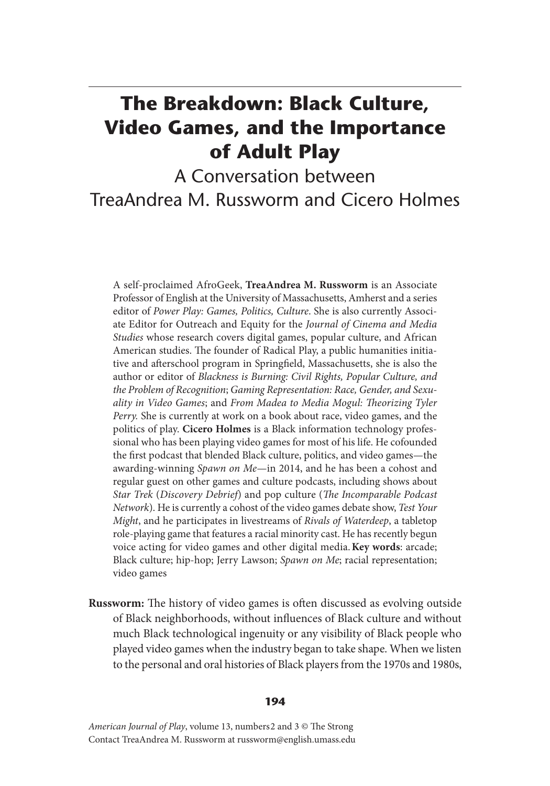## **The Breakdown: Black Culture, Video Games, and the Importance of Adult Play**

A Conversation between TreaAndrea M. Russworm and Cicero Holmes

A self-proclaimed AfroGeek, **TreaAndrea M. Russworm** is an Associate Professor of English at the University of Massachusetts, Amherst and a series editor of *Power Play: Games, Politics, Culture*. She is also currently Associate Editor for Outreach and Equity for the *Journal of Cinema and Media Studies* whose research covers digital games, popular culture, and African American studies. The founder of Radical Play, a public humanities initiative and afterschool program in Springfield, Massachusetts, she is also the author or editor of *Blackness is Burning: Civil Rights, Popular Culture, and the Problem of Recognition*; *Gaming Representation: Race, Gender, and Sexuality in Video Games*; and *From Madea to Media Mogul: Theorizing Tyler Perry.* She is currently at work on a book about race, video games, and the politics of play. **Cicero Holmes** is a Black information technology professional who has been playing video games for most of his life. He cofounded the first podcast that blended Black culture, politics, and video games—the awarding-winning *Spawn on Me*—in 2014, and he has been a cohost and regular guest on other games and culture podcasts, including shows about *Star Trek* (*Discovery Debrief*) and pop culture (*The Incomparable Podcast Network*). He is currently a cohost of the video games debate show, *Test Your Might*, and he participates in livestreams of *Rivals of Waterdeep*, a tabletop role-playing game that features a racial minority cast. He has recently begun voice acting for video games and other digital media. **Key words**: arcade; Black culture; hip-hop; Jerry Lawson; *Spawn on Me*; racial representation; video games

**Russworm:** The history of video games is often discussed as evolving outside of Black neighborhoods, without influences of Black culture and without much Black technological ingenuity or any visibility of Black people who played video games when the industry began to take shape. When we listen to the personal and oral histories of Black players from the 1970s and 1980s,

## **194**

*American Journal of Play*, volume 13, numbers 2 and 3 © The Strong Contact TreaAndrea M. Russworm at russworm@english.umass.edu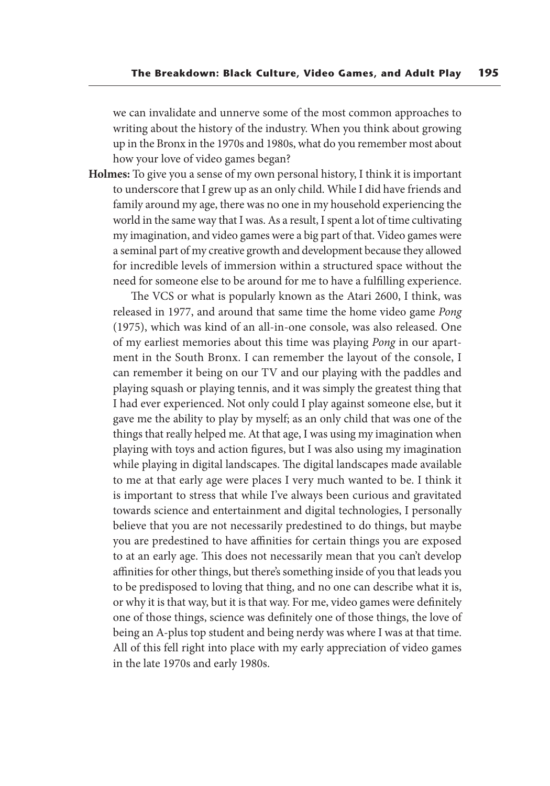we can invalidate and unnerve some of the most common approaches to writing about the history of the industry. When you think about growing up in the Bronx in the 1970s and 1980s, what do you remember most about how your love of video games began?

**Holmes:** To give you a sense of my own personal history, I think it is important to underscore that I grew up as an only child. While I did have friends and family around my age, there was no one in my household experiencing the world in the same way that I was. As a result, I spent a lot of time cultivating my imagination, and video games were a big part of that. Video games were a seminal part of my creative growth and development because they allowed for incredible levels of immersion within a structured space without the need for someone else to be around for me to have a fulfilling experience.

 The VCS or what is popularly known as the Atari 2600, I think, was released in 1977, and around that same time the home video game *Pong* (1975), which was kind of an all-in-one console, was also released. One of my earliest memories about this time was playing *Pong* in our apartment in the South Bronx. I can remember the layout of the console, I can remember it being on our TV and our playing with the paddles and playing squash or playing tennis, and it was simply the greatest thing that I had ever experienced. Not only could I play against someone else, but it gave me the ability to play by myself; as an only child that was one of the things that really helped me. At that age, I was using my imagination when playing with toys and action figures, but I was also using my imagination while playing in digital landscapes. The digital landscapes made available to me at that early age were places I very much wanted to be. I think it is important to stress that while I've always been curious and gravitated towards science and entertainment and digital technologies, I personally believe that you are not necessarily predestined to do things, but maybe you are predestined to have affinities for certain things you are exposed to at an early age. This does not necessarily mean that you can't develop affinities for other things, but there's something inside of you that leads you to be predisposed to loving that thing, and no one can describe what it is, or why it is that way, but it is that way. For me, video games were definitely one of those things, science was definitely one of those things, the love of being an A-plus top student and being nerdy was where I was at that time. All of this fell right into place with my early appreciation of video games in the late 1970s and early 1980s.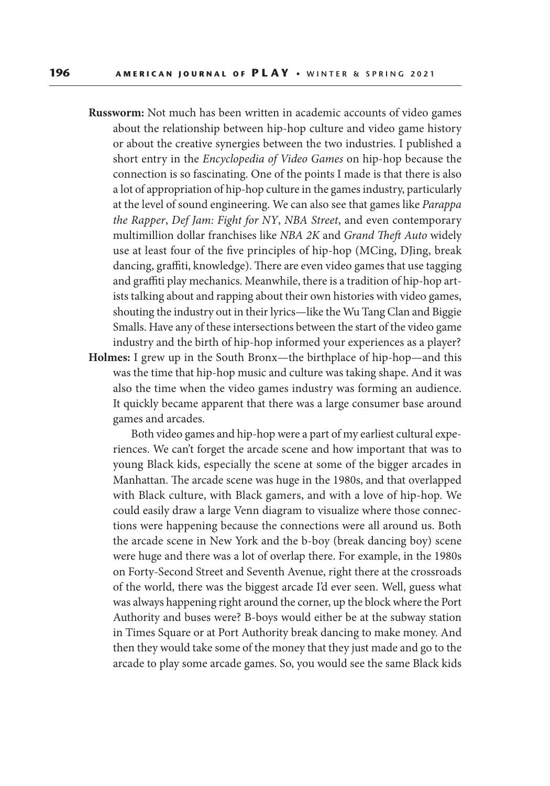**Russworm:** Not much has been written in academic accounts of video games about the relationship between hip-hop culture and video game history or about the creative synergies between the two industries. I published a short entry in the *Encyclopedia of Video Games* on hip-hop because the connection is so fascinating. One of the points I made is that there is also a lot of appropriation of hip-hop culture in the games industry, particularly at the level of sound engineering. We can also see that games like *Parappa the Rapper*, *Def Jam: Fight for NY*, *NBA Street*, and even contemporary multimillion dollar franchises like *NBA 2K* and *Grand Theft Auto* widely use at least four of the five principles of hip-hop (MCing, DJing, break dancing, graffiti, knowledge). There are even video games that use tagging and graffiti play mechanics. Meanwhile, there is a tradition of hip-hop artists talking about and rapping about their own histories with video games, shouting the industry out in their lyrics—like the Wu Tang Clan and Biggie Smalls. Have any of these intersections between the start of the video game industry and the birth of hip-hop informed your experiences as a player? **Holmes:** I grew up in the South Bronx—the birthplace of hip-hop—and this was the time that hip-hop music and culture was taking shape. And it was also the time when the video games industry was forming an audience. It quickly became apparent that there was a large consumer base around games and arcades.

 Both video games and hip-hop were a part of my earliest cultural experiences. We can't forget the arcade scene and how important that was to young Black kids, especially the scene at some of the bigger arcades in Manhattan. The arcade scene was huge in the 1980s, and that overlapped with Black culture, with Black gamers, and with a love of hip-hop. We could easily draw a large Venn diagram to visualize where those connections were happening because the connections were all around us. Both the arcade scene in New York and the b-boy (break dancing boy) scene were huge and there was a lot of overlap there. For example, in the 1980s on Forty-Second Street and Seventh Avenue, right there at the crossroads of the world, there was the biggest arcade I'd ever seen. Well, guess what was always happening right around the corner, up the block where the Port Authority and buses were? B-boys would either be at the subway station in Times Square or at Port Authority break dancing to make money. And then they would take some of the money that they just made and go to the arcade to play some arcade games. So, you would see the same Black kids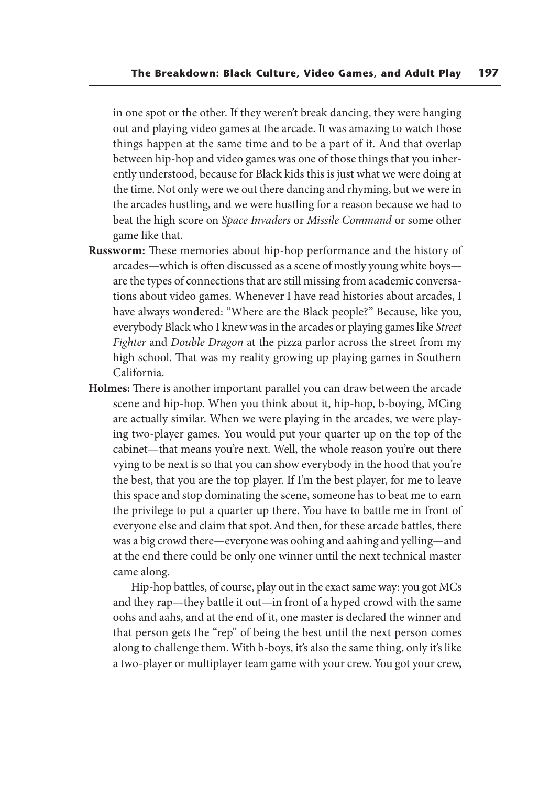in one spot or the other. If they weren't break dancing, they were hanging out and playing video games at the arcade. It was amazing to watch those things happen at the same time and to be a part of it. And that overlap between hip-hop and video games was one of those things that you inherently understood, because for Black kids this is just what we were doing at the time. Not only were we out there dancing and rhyming, but we were in the arcades hustling, and we were hustling for a reason because we had to beat the high score on *Space Invaders* or *Missile Command* or some other game like that.

- **Russworm:** These memories about hip-hop performance and the history of arcades—which is often discussed as a scene of mostly young white boys are the types of connections that are still missing from academic conversations about video games. Whenever I have read histories about arcades, I have always wondered: "Where are the Black people?" Because, like you, everybody Black who I knew was in the arcades or playing games like *Street Fighter* and *Double Dragon* at the pizza parlor across the street from my high school. That was my reality growing up playing games in Southern California.
- **Holmes:** There is another important parallel you can draw between the arcade scene and hip-hop. When you think about it, hip-hop, b-boying, MCing are actually similar. When we were playing in the arcades, we were playing two-player games. You would put your quarter up on the top of the cabinet—that means you're next. Well, the whole reason you're out there vying to be next is so that you can show everybody in the hood that you're the best, that you are the top player. If I'm the best player, for me to leave this space and stop dominating the scene, someone has to beat me to earn the privilege to put a quarter up there. You have to battle me in front of everyone else and claim that spot. And then, for these arcade battles, there was a big crowd there—everyone was oohing and aahing and yelling—and at the end there could be only one winner until the next technical master came along.

 Hip-hop battles, of course, play out in the exact same way: you got MCs and they rap—they battle it out—in front of a hyped crowd with the same oohs and aahs, and at the end of it, one master is declared the winner and that person gets the "rep" of being the best until the next person comes along to challenge them. With b-boys, it's also the same thing, only it's like a two-player or multiplayer team game with your crew. You got your crew,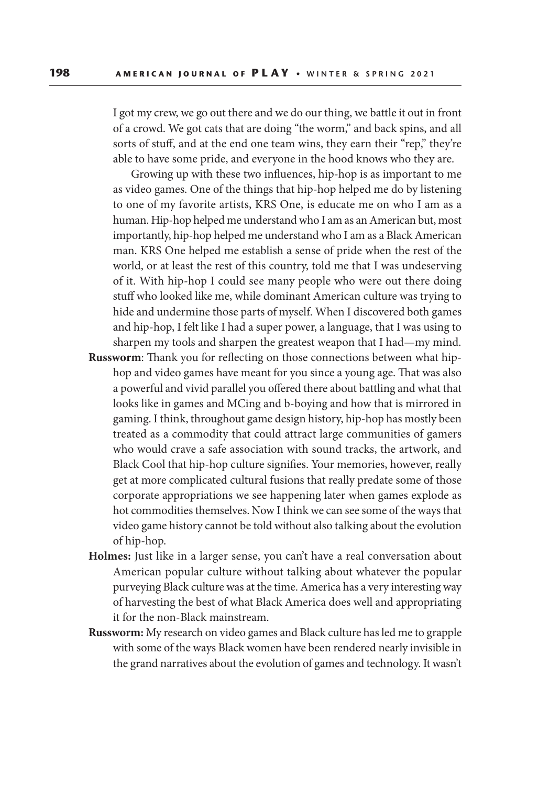I got my crew, we go out there and we do our thing, we battle it out in front of a crowd. We got cats that are doing "the worm," and back spins, and all sorts of stuff, and at the end one team wins, they earn their "rep," they're able to have some pride, and everyone in the hood knows who they are.

 Growing up with these two influences, hip-hop is as important to me as video games. One of the things that hip-hop helped me do by listening to one of my favorite artists, KRS One, is educate me on who I am as a human. Hip-hop helped me understand who I am as an American but, most importantly, hip-hop helped me understand who I am as a Black American man. KRS One helped me establish a sense of pride when the rest of the world, or at least the rest of this country, told me that I was undeserving of it. With hip-hop I could see many people who were out there doing stuff who looked like me, while dominant American culture was trying to hide and undermine those parts of myself. When I discovered both games and hip-hop, I felt like I had a super power, a language, that I was using to sharpen my tools and sharpen the greatest weapon that I had—my mind.

- **Russworm**: Thank you for reflecting on those connections between what hiphop and video games have meant for you since a young age. That was also a powerful and vivid parallel you offered there about battling and what that looks like in games and MCing and b-boying and how that is mirrored in gaming. I think, throughout game design history, hip-hop has mostly been treated as a commodity that could attract large communities of gamers who would crave a safe association with sound tracks, the artwork, and Black Cool that hip-hop culture signifies. Your memories, however, really get at more complicated cultural fusions that really predate some of those corporate appropriations we see happening later when games explode as hot commodities themselves. Now I think we can see some of the ways that video game history cannot be told without also talking about the evolution of hip-hop.
- **Holmes:** Just like in a larger sense, you can't have a real conversation about American popular culture without talking about whatever the popular purveying Black culture was at the time. America has a very interesting way of harvesting the best of what Black America does well and appropriating it for the non-Black mainstream.
- **Russworm:** My research on video games and Black culture has led me to grapple with some of the ways Black women have been rendered nearly invisible in the grand narratives about the evolution of games and technology. It wasn't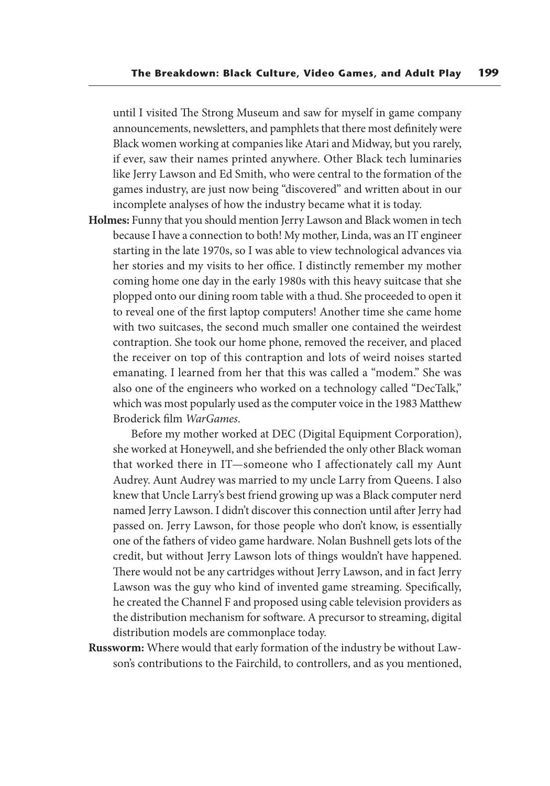until I visited The Strong Museum and saw for myself in game company announcements, newsletters, and pamphlets that there most definitely were Black women working at companies like Atari and Midway, but you rarely, if ever, saw their names printed anywhere. Other Black tech luminaries like Jerry Lawson and Ed Smith, who were central to the formation of the games industry, are just now being "discovered" and written about in our incomplete analyses of how the industry became what it is today.

**Holmes:** Funny that you should mention Jerry Lawson and Black women in tech because I have a connection to both! My mother, Linda, was an IT engineer starting in the late 1970s, so I was able to view technological advances via her stories and my visits to her office. I distinctly remember my mother coming home one day in the early 1980s with this heavy suitcase that she plopped onto our dining room table with a thud. She proceeded to open it to reveal one of the first laptop computers! Another time she came home with two suitcases, the second much smaller one contained the weirdest contraption. She took our home phone, removed the receiver, and placed the receiver on top of this contraption and lots of weird noises started emanating. I learned from her that this was called a "modem." She was also one of the engineers who worked on a technology called "DecTalk," which was most popularly used as the computer voice in the 1983 Matthew Broderick film *WarGames*.

 Before my mother worked at DEC (Digital Equipment Corporation), she worked at Honeywell, and she befriended the only other Black woman that worked there in IT—someone who I affectionately call my Aunt Audrey. Aunt Audrey was married to my uncle Larry from Queens. I also knew that Uncle Larry's best friend growing up was a Black computer nerd named Jerry Lawson. I didn't discover this connection until after Jerry had passed on. Jerry Lawson, for those people who don't know, is essentially one of the fathers of video game hardware. Nolan Bushnell gets lots of the credit, but without Jerry Lawson lots of things wouldn't have happened. There would not be any cartridges without Jerry Lawson, and in fact Jerry Lawson was the guy who kind of invented game streaming. Specifically, he created the Channel F and proposed using cable television providers as the distribution mechanism for software. A precursor to streaming, digital distribution models are commonplace today.

**Russworm:** Where would that early formation of the industry be without Lawson's contributions to the Fairchild, to controllers, and as you mentioned,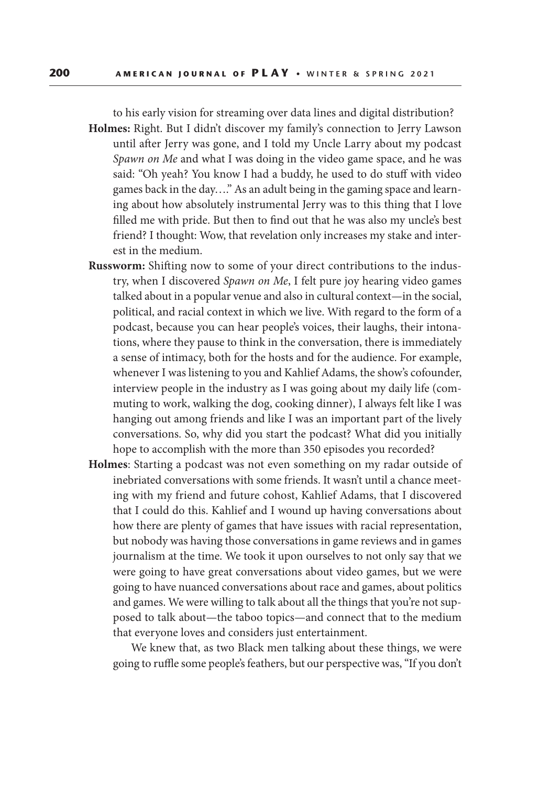to his early vision for streaming over data lines and digital distribution?

- **Holmes:** Right. But I didn't discover my family's connection to Jerry Lawson until after Jerry was gone, and I told my Uncle Larry about my podcast *Spawn on Me* and what I was doing in the video game space, and he was said: "Oh yeah? You know I had a buddy, he used to do stuff with video games back in the day…." As an adult being in the gaming space and learning about how absolutely instrumental Jerry was to this thing that I love filled me with pride. But then to find out that he was also my uncle's best friend? I thought: Wow, that revelation only increases my stake and interest in the medium.
- **Russworm:** Shifting now to some of your direct contributions to the industry, when I discovered *Spawn on Me*, I felt pure joy hearing video games talked about in a popular venue and also in cultural context—in the social, political, and racial context in which we live. With regard to the form of a podcast, because you can hear people's voices, their laughs, their intonations, where they pause to think in the conversation, there is immediately a sense of intimacy, both for the hosts and for the audience. For example, whenever I was listening to you and Kahlief Adams, the show's cofounder, interview people in the industry as I was going about my daily life (commuting to work, walking the dog, cooking dinner), I always felt like I was hanging out among friends and like I was an important part of the lively conversations. So, why did you start the podcast? What did you initially hope to accomplish with the more than 350 episodes you recorded?
- **Holmes**: Starting a podcast was not even something on my radar outside of inebriated conversations with some friends. It wasn't until a chance meeting with my friend and future cohost, Kahlief Adams, that I discovered that I could do this. Kahlief and I wound up having conversations about how there are plenty of games that have issues with racial representation, but nobody was having those conversations in game reviews and in games journalism at the time. We took it upon ourselves to not only say that we were going to have great conversations about video games, but we were going to have nuanced conversations about race and games, about politics and games. We were willing to talk about all the things that you're not supposed to talk about—the taboo topics—and connect that to the medium that everyone loves and considers just entertainment.

 We knew that, as two Black men talking about these things, we were going to ruffle some people's feathers, but our perspective was, "If you don't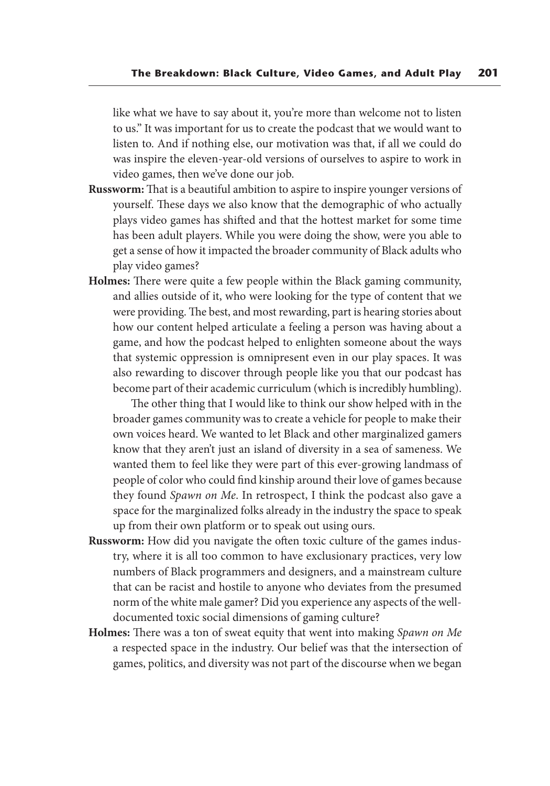like what we have to say about it, you're more than welcome not to listen to us." It was important for us to create the podcast that we would want to listen to. And if nothing else, our motivation was that, if all we could do was inspire the eleven-year-old versions of ourselves to aspire to work in video games, then we've done our job.

- **Russworm:** That is a beautiful ambition to aspire to inspire younger versions of yourself. These days we also know that the demographic of who actually plays video games has shifted and that the hottest market for some time has been adult players. While you were doing the show, were you able to get a sense of how it impacted the broader community of Black adults who play video games?
- **Holmes:** There were quite a few people within the Black gaming community, and allies outside of it, who were looking for the type of content that we were providing. The best, and most rewarding, part is hearing stories about how our content helped articulate a feeling a person was having about a game, and how the podcast helped to enlighten someone about the ways that systemic oppression is omnipresent even in our play spaces. It was also rewarding to discover through people like you that our podcast has become part of their academic curriculum (which is incredibly humbling).

 The other thing that I would like to think our show helped with in the broader games community was to create a vehicle for people to make their own voices heard. We wanted to let Black and other marginalized gamers know that they aren't just an island of diversity in a sea of sameness. We wanted them to feel like they were part of this ever-growing landmass of people of color who could find kinship around their love of games because they found *Spawn on Me*. In retrospect, I think the podcast also gave a space for the marginalized folks already in the industry the space to speak up from their own platform or to speak out using ours.

- **Russworm:** How did you navigate the often toxic culture of the games industry, where it is all too common to have exclusionary practices, very low numbers of Black programmers and designers, and a mainstream culture that can be racist and hostile to anyone who deviates from the presumed norm of the white male gamer? Did you experience any aspects of the welldocumented toxic social dimensions of gaming culture?
- **Holmes:** There was a ton of sweat equity that went into making *Spawn on Me* a respected space in the industry. Our belief was that the intersection of games, politics, and diversity was not part of the discourse when we began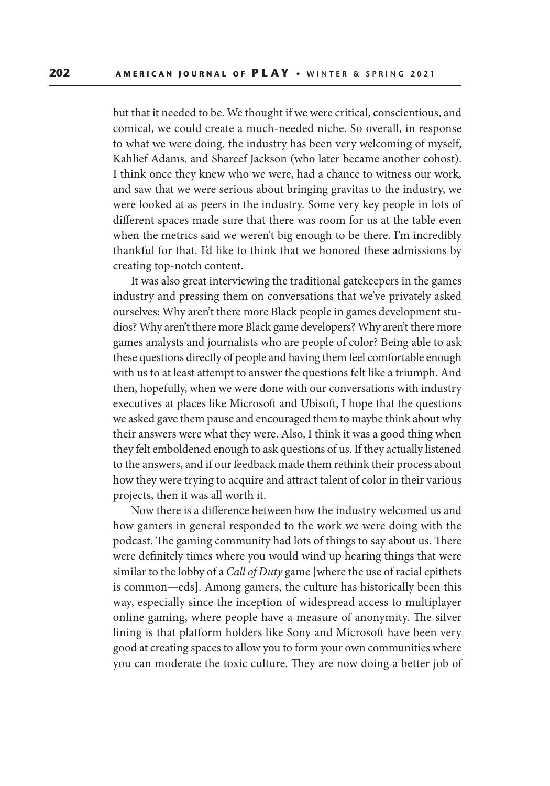but that it needed to be. We thought if we were critical, conscientious, and comical, we could create a much-needed niche. So overall, in response to what we were doing, the industry has been very welcoming of myself, Kahlief Adams, and Shareef Jackson (who later became another cohost). I think once they knew who we were, had a chance to witness our work, and saw that we were serious about bringing gravitas to the industry, we were looked at as peers in the industry. Some very key people in lots of different spaces made sure that there was room for us at the table even when the metrics said we weren't big enough to be there. I'm incredibly thankful for that. I'd like to think that we honored these admissions by creating top-notch content.

 It was also great interviewing the traditional gatekeepers in the games industry and pressing them on conversations that we've privately asked ourselves: Why aren't there more Black people in games development studios? Why aren't there more Black game developers? Why aren't there more games analysts and journalists who are people of color? Being able to ask these questions directly of people and having them feel comfortable enough with us to at least attempt to answer the questions felt like a triumph. And then, hopefully, when we were done with our conversations with industry executives at places like Microsoft and Ubisoft, I hope that the questions we asked gave them pause and encouraged them to maybe think about why their answers were what they were. Also, I think it was a good thing when they felt emboldened enough to ask questions of us. If they actually listened to the answers, and if our feedback made them rethink their process about how they were trying to acquire and attract talent of color in their various projects, then it was all worth it.

 Now there is a difference between how the industry welcomed us and how gamers in general responded to the work we were doing with the podcast. The gaming community had lots of things to say about us. There were definitely times where you would wind up hearing things that were similar to the lobby of a *Call of Duty* game [where the use of racial epithets is common—eds]. Among gamers, the culture has historically been this way, especially since the inception of widespread access to multiplayer online gaming, where people have a measure of anonymity. The silver lining is that platform holders like Sony and Microsoft have been very good at creating spaces to allow you to form your own communities where you can moderate the toxic culture. They are now doing a better job of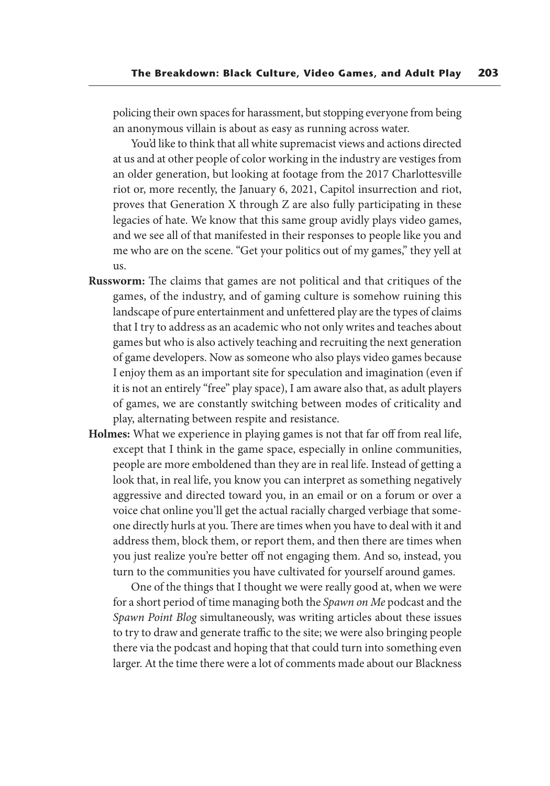policing their own spaces for harassment, but stopping everyone from being an anonymous villain is about as easy as running across water.

 You'd like to think that all white supremacist views and actions directed at us and at other people of color working in the industry are vestiges from an older generation, but looking at footage from the 2017 Charlottesville riot or, more recently, the January 6, 2021, Capitol insurrection and riot, proves that Generation X through Z are also fully participating in these legacies of hate. We know that this same group avidly plays video games, and we see all of that manifested in their responses to people like you and me who are on the scene. "Get your politics out of my games," they yell at us.

- **Russworm:** The claims that games are not political and that critiques of the games, of the industry, and of gaming culture is somehow ruining this landscape of pure entertainment and unfettered play are the types of claims that I try to address as an academic who not only writes and teaches about games but who is also actively teaching and recruiting the next generation of game developers. Now as someone who also plays video games because I enjoy them as an important site for speculation and imagination (even if it is not an entirely "free" play space), I am aware also that, as adult players of games, we are constantly switching between modes of criticality and play, alternating between respite and resistance.
- **Holmes:** What we experience in playing games is not that far off from real life, except that I think in the game space, especially in online communities, people are more emboldened than they are in real life. Instead of getting a look that, in real life, you know you can interpret as something negatively aggressive and directed toward you, in an email or on a forum or over a voice chat online you'll get the actual racially charged verbiage that someone directly hurls at you. There are times when you have to deal with it and address them, block them, or report them, and then there are times when you just realize you're better off not engaging them. And so, instead, you turn to the communities you have cultivated for yourself around games.

 One of the things that I thought we were really good at, when we were for a short period of time managing both the *Spawn on Me* podcast and the *Spawn Point Blog* simultaneously, was writing articles about these issues to try to draw and generate traffic to the site; we were also bringing people there via the podcast and hoping that that could turn into something even larger. At the time there were a lot of comments made about our Blackness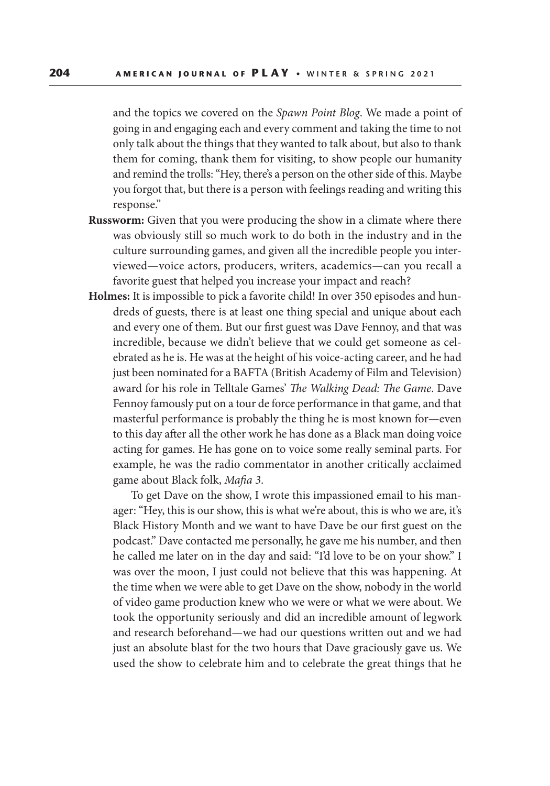and the topics we covered on the *Spawn Point Blog*. We made a point of going in and engaging each and every comment and taking the time to not only talk about the things that they wanted to talk about, but also to thank them for coming, thank them for visiting, to show people our humanity and remind the trolls: "Hey, there's a person on the other side of this. Maybe you forgot that, but there is a person with feelings reading and writing this response."

- **Russworm:** Given that you were producing the show in a climate where there was obviously still so much work to do both in the industry and in the culture surrounding games, and given all the incredible people you interviewed—voice actors, producers, writers, academics—can you recall a favorite guest that helped you increase your impact and reach?
- **Holmes:** It is impossible to pick a favorite child! In over 350 episodes and hundreds of guests, there is at least one thing special and unique about each and every one of them. But our first guest was Dave Fennoy, and that was incredible, because we didn't believe that we could get someone as celebrated as he is. He was at the height of his voice-acting career, and he had just been nominated for a BAFTA (British Academy of Film and Television) award for his role in Telltale Games' *The Walking Dead: The Game*. Dave Fennoy famously put on a tour de force performance in that game, and that masterful performance is probably the thing he is most known for—even to this day after all the other work he has done as a Black man doing voice acting for games. He has gone on to voice some really seminal parts. For example, he was the radio commentator in another critically acclaimed game about Black folk, *Mafia 3*.

 To get Dave on the show, I wrote this impassioned email to his manager: "Hey, this is our show, this is what we're about, this is who we are, it's Black History Month and we want to have Dave be our first guest on the podcast." Dave contacted me personally, he gave me his number, and then he called me later on in the day and said: "I'd love to be on your show." I was over the moon, I just could not believe that this was happening. At the time when we were able to get Dave on the show, nobody in the world of video game production knew who we were or what we were about. We took the opportunity seriously and did an incredible amount of legwork and research beforehand—we had our questions written out and we had just an absolute blast for the two hours that Dave graciously gave us. We used the show to celebrate him and to celebrate the great things that he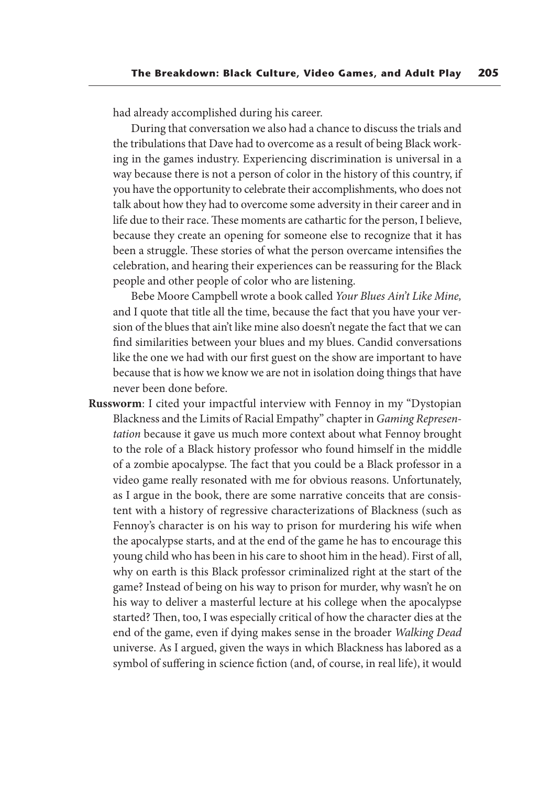had already accomplished during his career.

 During that conversation we also had a chance to discuss the trials and the tribulations that Dave had to overcome as a result of being Black working in the games industry. Experiencing discrimination is universal in a way because there is not a person of color in the history of this country, if you have the opportunity to celebrate their accomplishments, who does not talk about how they had to overcome some adversity in their career and in life due to their race. These moments are cathartic for the person, I believe, because they create an opening for someone else to recognize that it has been a struggle. These stories of what the person overcame intensifies the celebration, and hearing their experiences can be reassuring for the Black people and other people of color who are listening.

 Bebe Moore Campbell wrote a book called *Your Blues Ain't Like Mine,*  and I quote that title all the time, because the fact that you have your version of the blues that ain't like mine also doesn't negate the fact that we can find similarities between your blues and my blues. Candid conversations like the one we had with our first guest on the show are important to have because that is how we know we are not in isolation doing things that have never been done before.

**Russworm**: I cited your impactful interview with Fennoy in my "Dystopian Blackness and the Limits of Racial Empathy" chapter in *Gaming Representation* because it gave us much more context about what Fennoy brought to the role of a Black history professor who found himself in the middle of a zombie apocalypse. The fact that you could be a Black professor in a video game really resonated with me for obvious reasons. Unfortunately, as I argue in the book, there are some narrative conceits that are consistent with a history of regressive characterizations of Blackness (such as Fennoy's character is on his way to prison for murdering his wife when the apocalypse starts, and at the end of the game he has to encourage this young child who has been in his care to shoot him in the head). First of all, why on earth is this Black professor criminalized right at the start of the game? Instead of being on his way to prison for murder, why wasn't he on his way to deliver a masterful lecture at his college when the apocalypse started? Then, too, I was especially critical of how the character dies at the end of the game, even if dying makes sense in the broader *Walking Dead* universe. As I argued, given the ways in which Blackness has labored as a symbol of suffering in science fiction (and, of course, in real life), it would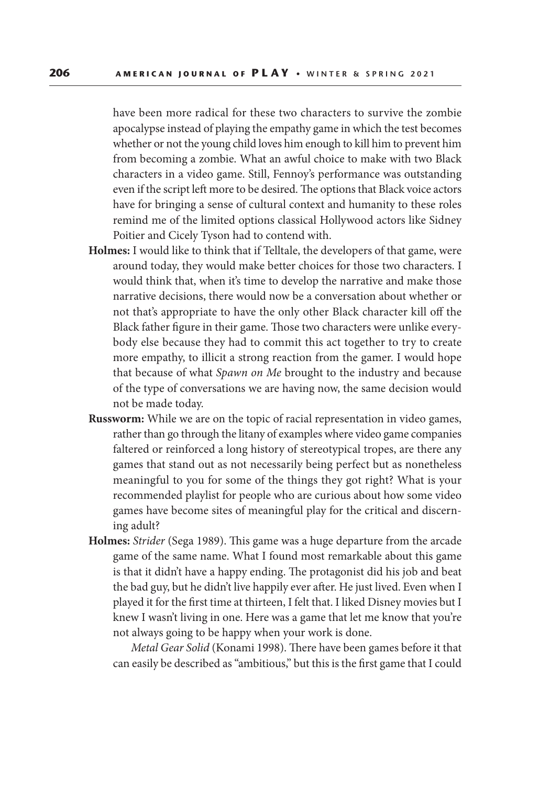have been more radical for these two characters to survive the zombie apocalypse instead of playing the empathy game in which the test becomes whether or not the young child loves him enough to kill him to prevent him from becoming a zombie. What an awful choice to make with two Black characters in a video game. Still, Fennoy's performance was outstanding even if the script left more to be desired. The options that Black voice actors have for bringing a sense of cultural context and humanity to these roles remind me of the limited options classical Hollywood actors like Sidney Poitier and Cicely Tyson had to contend with.

- **Holmes:** I would like to think that if Telltale, the developers of that game, were around today, they would make better choices for those two characters. I would think that, when it's time to develop the narrative and make those narrative decisions, there would now be a conversation about whether or not that's appropriate to have the only other Black character kill off the Black father figure in their game. Those two characters were unlike everybody else because they had to commit this act together to try to create more empathy, to illicit a strong reaction from the gamer. I would hope that because of what *Spawn on Me* brought to the industry and because of the type of conversations we are having now, the same decision would not be made today.
- **Russworm:** While we are on the topic of racial representation in video games, rather than go through the litany of examples where video game companies faltered or reinforced a long history of stereotypical tropes, are there any games that stand out as not necessarily being perfect but as nonetheless meaningful to you for some of the things they got right? What is your recommended playlist for people who are curious about how some video games have become sites of meaningful play for the critical and discerning adult?
- **Holmes:** *Strider* (Sega 1989). This game was a huge departure from the arcade game of the same name. What I found most remarkable about this game is that it didn't have a happy ending. The protagonist did his job and beat the bad guy, but he didn't live happily ever after. He just lived. Even when I played it for the first time at thirteen, I felt that. I liked Disney movies but I knew I wasn't living in one. Here was a game that let me know that you're not always going to be happy when your work is done.

 *Metal Gear Solid* (Konami 1998). There have been games before it that can easily be described as "ambitious," but this is the first game that I could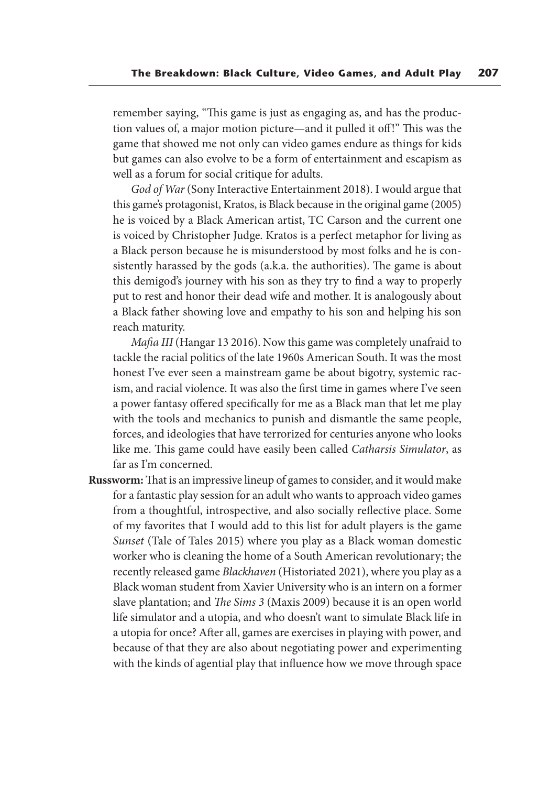remember saying, "This game is just as engaging as, and has the production values of, a major motion picture—and it pulled it off!" This was the game that showed me not only can video games endure as things for kids but games can also evolve to be a form of entertainment and escapism as well as a forum for social critique for adults.

 *God of War* (Sony Interactive Entertainment 2018). I would argue that this game's protagonist, Kratos, is Black because in the original game (2005) he is voiced by a Black American artist, TC Carson and the current one is voiced by Christopher Judge. Kratos is a perfect metaphor for living as a Black person because he is misunderstood by most folks and he is consistently harassed by the gods (a.k.a. the authorities). The game is about this demigod's journey with his son as they try to find a way to properly put to rest and honor their dead wife and mother. It is analogously about a Black father showing love and empathy to his son and helping his son reach maturity.

 *Mafia III* (Hangar 13 2016). Now this game was completely unafraid to tackle the racial politics of the late 1960s American South. It was the most honest I've ever seen a mainstream game be about bigotry, systemic racism, and racial violence. It was also the first time in games where I've seen a power fantasy offered specifically for me as a Black man that let me play with the tools and mechanics to punish and dismantle the same people, forces, and ideologies that have terrorized for centuries anyone who looks like me. This game could have easily been called *Catharsis Simulator*, as far as I'm concerned.

**Russworm:** That is an impressive lineup of games to consider, and it would make for a fantastic play session for an adult who wants to approach video games from a thoughtful, introspective, and also socially reflective place. Some of my favorites that I would add to this list for adult players is the game *Sunset* (Tale of Tales 2015) where you play as a Black woman domestic worker who is cleaning the home of a South American revolutionary; the recently released game *Blackhaven* (Historiated 2021), where you play as a Black woman student from Xavier University who is an intern on a former slave plantation; and *The Sims 3* (Maxis 2009) because it is an open world life simulator and a utopia, and who doesn't want to simulate Black life in a utopia for once? After all, games are exercises in playing with power, and because of that they are also about negotiating power and experimenting with the kinds of agential play that influence how we move through space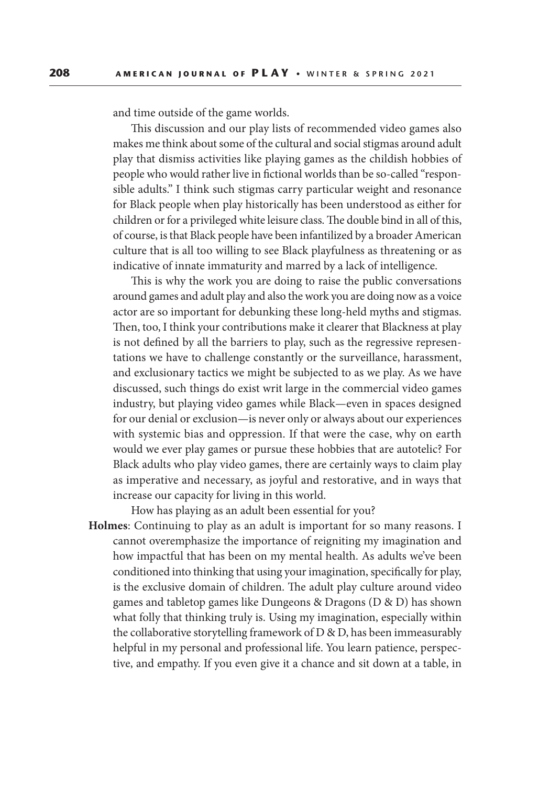and time outside of the game worlds.

 This discussion and our play lists of recommended video games also makes me think about some of the cultural and social stigmas around adult play that dismiss activities like playing games as the childish hobbies of people who would rather live in fictional worlds than be so-called "responsible adults." I think such stigmas carry particular weight and resonance for Black people when play historically has been understood as either for children or for a privileged white leisure class. The double bind in all of this, of course, is that Black people have been infantilized by a broader American culture that is all too willing to see Black playfulness as threatening or as indicative of innate immaturity and marred by a lack of intelligence.

 This is why the work you are doing to raise the public conversations around games and adult play and also the work you are doing now as a voice actor are so important for debunking these long-held myths and stigmas. Then, too, I think your contributions make it clearer that Blackness at play is not defined by all the barriers to play, such as the regressive representations we have to challenge constantly or the surveillance, harassment, and exclusionary tactics we might be subjected to as we play. As we have discussed, such things do exist writ large in the commercial video games industry, but playing video games while Black—even in spaces designed for our denial or exclusion—is never only or always about our experiences with systemic bias and oppression. If that were the case, why on earth would we ever play games or pursue these hobbies that are autotelic? For Black adults who play video games, there are certainly ways to claim play as imperative and necessary, as joyful and restorative, and in ways that increase our capacity for living in this world.

How has playing as an adult been essential for you?

**Holmes**: Continuing to play as an adult is important for so many reasons. I cannot overemphasize the importance of reigniting my imagination and how impactful that has been on my mental health. As adults we've been conditioned into thinking that using your imagination, specifically for play, is the exclusive domain of children. The adult play culture around video games and tabletop games like Dungeons & Dragons (D & D) has shown what folly that thinking truly is. Using my imagination, especially within the collaborative storytelling framework of D & D, has been immeasurably helpful in my personal and professional life. You learn patience, perspective, and empathy. If you even give it a chance and sit down at a table, in